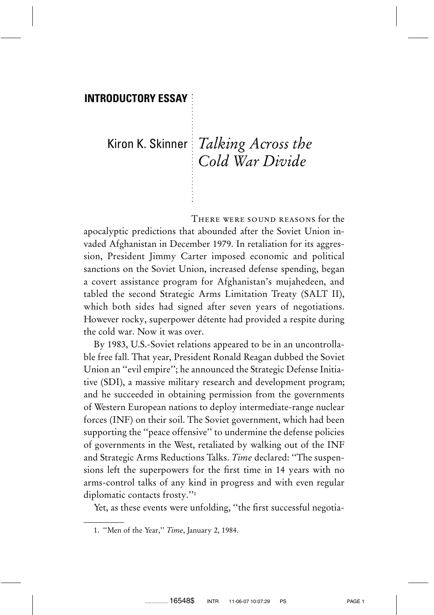## **INTRODUCTORY ESSAY**

## Kiron K. Skinner *Talking Across the Cold War Divide*

There were sound reasons for the apocalyptic predictions that abounded after the Soviet Union invaded Afghanistan in December 1979. In retaliation for its aggression, President Jimmy Carter imposed economic and political sanctions on the Soviet Union, increased defense spending, began a covert assistance program for Afghanistan's mujahedeen, and tabled the second Strategic Arms Limitation Treaty (SALT II), which both sides had signed after seven years of negotiations. However rocky, superpower détente had provided a respite during the cold war. Now it was over.

By 1983, U.S.-Soviet relations appeared to be in an uncontrollable free fall. That year, President Ronald Reagan dubbed the Soviet Union an ''evil empire''; he announced the Strategic Defense Initiative (SDI), a massive military research and development program; and he succeeded in obtaining permission from the governments of Western European nations to deploy intermediate-range nuclear forces (INF) on their soil. The Soviet government, which had been supporting the ''peace offensive'' to undermine the defense policies of governments in the West, retaliated by walking out of the INF and Strategic Arms Reductions Talks. *Time* declared: ''The suspensions left the superpowers for the first time in 14 years with no arms-control talks of any kind in progress and with even regular diplomatic contacts frosty.''1

Yet, as these events were unfolding, ''the first successful negotia-

<sup>1. &#</sup>x27;'Men of the Year,'' *Time*, January 2, 1984.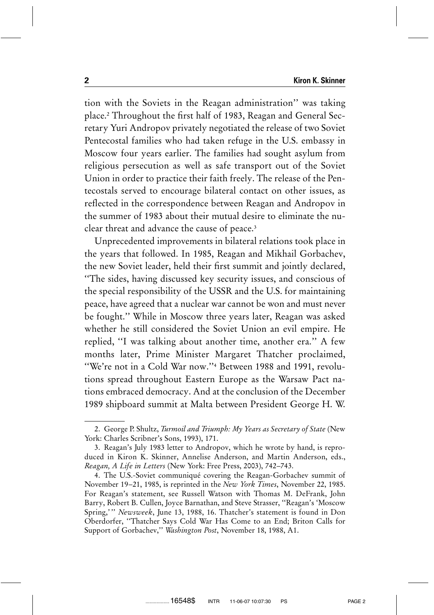tion with the Soviets in the Reagan administration'' was taking place.2 Throughout the first half of 1983, Reagan and General Secretary Yuri Andropov privately negotiated the release of two Soviet Pentecostal families who had taken refuge in the U.S. embassy in Moscow four years earlier. The families had sought asylum from religious persecution as well as safe transport out of the Soviet Union in order to practice their faith freely. The release of the Pentecostals served to encourage bilateral contact on other issues, as reflected in the correspondence between Reagan and Andropov in the summer of 1983 about their mutual desire to eliminate the nuclear threat and advance the cause of peace.3

Unprecedented improvements in bilateral relations took place in the years that followed. In 1985, Reagan and Mikhail Gorbachev, the new Soviet leader, held their first summit and jointly declared, ''The sides, having discussed key security issues, and conscious of the special responsibility of the USSR and the U.S. for maintaining peace, have agreed that a nuclear war cannot be won and must never be fought.'' While in Moscow three years later, Reagan was asked whether he still considered the Soviet Union an evil empire. He replied, ''I was talking about another time, another era.'' A few months later, Prime Minister Margaret Thatcher proclaimed, ''We're not in a Cold War now.''4 Between 1988 and 1991, revolutions spread throughout Eastern Europe as the Warsaw Pact nations embraced democracy. And at the conclusion of the December 1989 shipboard summit at Malta between President George H. W.

<sup>2.</sup> George P. Shultz, *Turmoil and Triumph: My Years as Secretary of State* (New York: Charles Scribner's Sons, 1993), 171.

<sup>3.</sup> Reagan's July 1983 letter to Andropov, which he wrote by hand, is reproduced in Kiron K. Skinner, Annelise Anderson, and Martin Anderson, eds., *Reagan, A Life in Letters* (New York: Free Press, 2003), 742–743.

<sup>4.</sup> The U.S.-Soviet communiqué covering the Reagan-Gorbachev summit of November 19–21, 1985, is reprinted in the *New York Times*, November 22, 1985. For Reagan's statement, see Russell Watson with Thomas M. DeFrank, John Barry, Robert B. Cullen, Joyce Barnathan, and Steve Strasser, ''Reagan's 'Moscow Spring,' '' *Newsweek*, June 13, 1988, 16. Thatcher's statement is found in Don Oberdorfer, ''Thatcher Says Cold War Has Come to an End; Briton Calls for Support of Gorbachev,'' *Washington Post*, November 18, 1988, A1.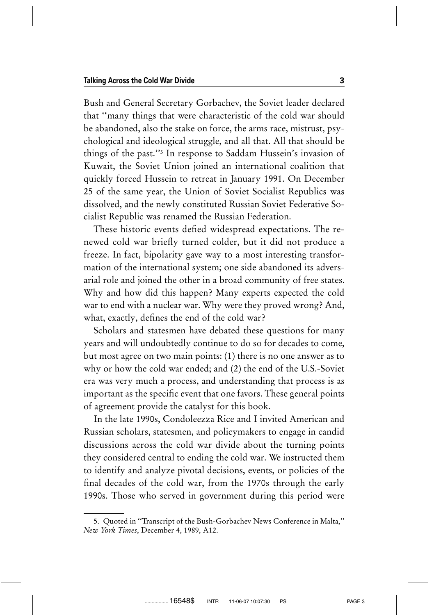Bush and General Secretary Gorbachev, the Soviet leader declared that ''many things that were characteristic of the cold war should be abandoned, also the stake on force, the arms race, mistrust, psychological and ideological struggle, and all that. All that should be things of the past.''5 In response to Saddam Hussein's invasion of Kuwait, the Soviet Union joined an international coalition that quickly forced Hussein to retreat in January 1991. On December 25 of the same year, the Union of Soviet Socialist Republics was dissolved, and the newly constituted Russian Soviet Federative Socialist Republic was renamed the Russian Federation.

These historic events defied widespread expectations. The renewed cold war briefly turned colder, but it did not produce a freeze. In fact, bipolarity gave way to a most interesting transformation of the international system; one side abandoned its adversarial role and joined the other in a broad community of free states. Why and how did this happen? Many experts expected the cold war to end with a nuclear war. Why were they proved wrong? And, what, exactly, defines the end of the cold war?

Scholars and statesmen have debated these questions for many years and will undoubtedly continue to do so for decades to come, but most agree on two main points: (1) there is no one answer as to why or how the cold war ended; and (2) the end of the U.S.-Soviet era was very much a process, and understanding that process is as important as the specific event that one favors. These general points of agreement provide the catalyst for this book.

In the late 1990s, Condoleezza Rice and I invited American and Russian scholars, statesmen, and policymakers to engage in candid discussions across the cold war divide about the turning points they considered central to ending the cold war. We instructed them to identify and analyze pivotal decisions, events, or policies of the final decades of the cold war, from the 1970s through the early 1990s. Those who served in government during this period were

<sup>5.</sup> Quoted in ''Transcript of the Bush-Gorbachev News Conference in Malta,'' *New York Times*, December 4, 1989, A12.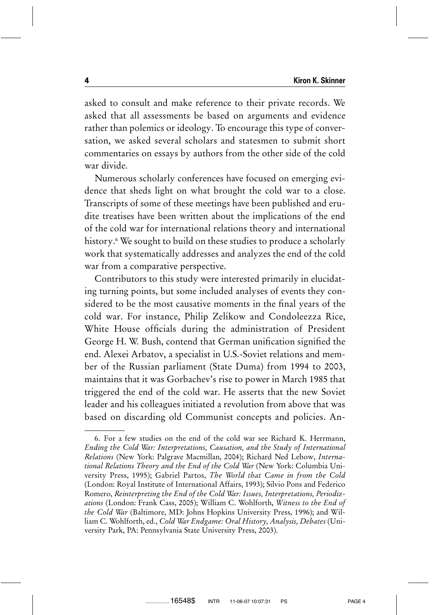asked to consult and make reference to their private records. We asked that all assessments be based on arguments and evidence rather than polemics or ideology. To encourage this type of conversation, we asked several scholars and statesmen to submit short commentaries on essays by authors from the other side of the cold war divide.

Numerous scholarly conferences have focused on emerging evidence that sheds light on what brought the cold war to a close. Transcripts of some of these meetings have been published and erudite treatises have been written about the implications of the end of the cold war for international relations theory and international history.<sup>6</sup> We sought to build on these studies to produce a scholarly work that systematically addresses and analyzes the end of the cold war from a comparative perspective.

Contributors to this study were interested primarily in elucidating turning points, but some included analyses of events they considered to be the most causative moments in the final years of the cold war. For instance, Philip Zelikow and Condoleezza Rice, White House officials during the administration of President George H. W. Bush, contend that German unification signified the end. Alexei Arbatov, a specialist in U.S.-Soviet relations and member of the Russian parliament (State Duma) from 1994 to 2003, maintains that it was Gorbachev's rise to power in March 1985 that triggered the end of the cold war. He asserts that the new Soviet leader and his colleagues initiated a revolution from above that was based on discarding old Communist concepts and policies. An-

<sup>6.</sup> For a few studies on the end of the cold war see Richard K. Herrmann, *Ending the Cold War: Interpretations, Causation, and the Study of International Relations* (New York: Palgrave Macmillan, 2004); Richard Ned Lebow, *International Relations Theory and the End of the Cold War* (New York: Columbia University Press, 1995); Gabriel Partos, *The World that Came in from the Cold* (London: Royal Institute of International Affairs, 1993); Silvio Pons and Federico Romero, *Reinterpreting the End of the Cold War: Issues, Interpretations, Periodizations* (London: Frank Cass, 2005); William C. Wohlforth, *Witness to the End of the Cold War* (Baltimore, MD: Johns Hopkins University Press, 1996); and William C. Wohlforth, ed., *Cold War Endgame: Oral History, Analysis, Debates* (University Park, PA: Pennsylvania State University Press, 2003).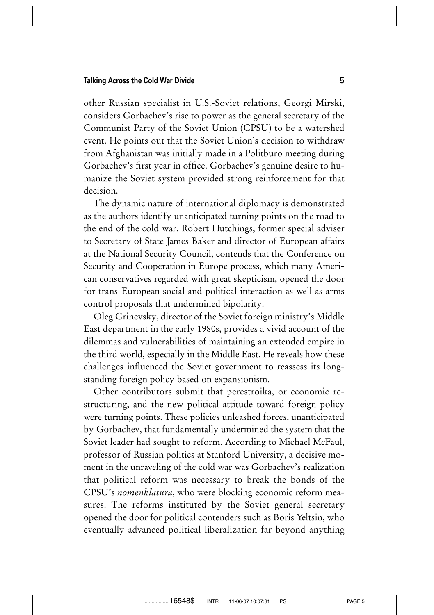other Russian specialist in U.S.-Soviet relations, Georgi Mirski, considers Gorbachev's rise to power as the general secretary of the Communist Party of the Soviet Union (CPSU) to be a watershed event. He points out that the Soviet Union's decision to withdraw from Afghanistan was initially made in a Politburo meeting during Gorbachev's first year in office. Gorbachev's genuine desire to humanize the Soviet system provided strong reinforcement for that decision.

The dynamic nature of international diplomacy is demonstrated as the authors identify unanticipated turning points on the road to the end of the cold war. Robert Hutchings, former special adviser to Secretary of State James Baker and director of European affairs at the National Security Council, contends that the Conference on Security and Cooperation in Europe process, which many American conservatives regarded with great skepticism, opened the door for trans-European social and political interaction as well as arms control proposals that undermined bipolarity.

Oleg Grinevsky, director of the Soviet foreign ministry's Middle East department in the early 1980s, provides a vivid account of the dilemmas and vulnerabilities of maintaining an extended empire in the third world, especially in the Middle East. He reveals how these challenges influenced the Soviet government to reassess its longstanding foreign policy based on expansionism.

Other contributors submit that perestroika, or economic restructuring, and the new political attitude toward foreign policy were turning points. These policies unleashed forces, unanticipated by Gorbachev, that fundamentally undermined the system that the Soviet leader had sought to reform. According to Michael McFaul, professor of Russian politics at Stanford University, a decisive moment in the unraveling of the cold war was Gorbachev's realization that political reform was necessary to break the bonds of the CPSU's *nomenklatura*, who were blocking economic reform measures. The reforms instituted by the Soviet general secretary opened the door for political contenders such as Boris Yeltsin, who eventually advanced political liberalization far beyond anything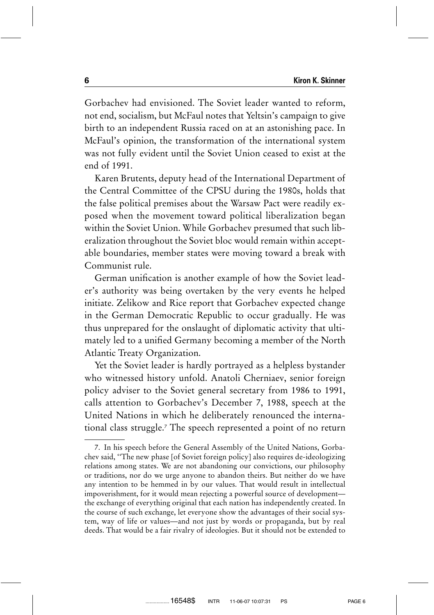Gorbachev had envisioned. The Soviet leader wanted to reform, not end, socialism, but McFaul notes that Yeltsin's campaign to give birth to an independent Russia raced on at an astonishing pace. In McFaul's opinion, the transformation of the international system was not fully evident until the Soviet Union ceased to exist at the end of 1991.

Karen Brutents, deputy head of the International Department of the Central Committee of the CPSU during the 1980s, holds that the false political premises about the Warsaw Pact were readily exposed when the movement toward political liberalization began within the Soviet Union. While Gorbachev presumed that such liberalization throughout the Soviet bloc would remain within acceptable boundaries, member states were moving toward a break with Communist rule.

German unification is another example of how the Soviet leader's authority was being overtaken by the very events he helped initiate. Zelikow and Rice report that Gorbachev expected change in the German Democratic Republic to occur gradually. He was thus unprepared for the onslaught of diplomatic activity that ultimately led to a unified Germany becoming a member of the North Atlantic Treaty Organization.

Yet the Soviet leader is hardly portrayed as a helpless bystander who witnessed history unfold. Anatoli Cherniaev, senior foreign policy adviser to the Soviet general secretary from 1986 to 1991, calls attention to Gorbachev's December 7, 1988, speech at the United Nations in which he deliberately renounced the international class struggle.7 The speech represented a point of no return

<sup>7.</sup> In his speech before the General Assembly of the United Nations, Gorbachev said, ''The new phase [of Soviet foreign policy] also requires de-ideologizing relations among states. We are not abandoning our convictions, our philosophy or traditions, nor do we urge anyone to abandon theirs. But neither do we have any intention to be hemmed in by our values. That would result in intellectual impoverishment, for it would mean rejecting a powerful source of development the exchange of everything original that each nation has independently created. In the course of such exchange, let everyone show the advantages of their social system, way of life or values—and not just by words or propaganda, but by real deeds. That would be a fair rivalry of ideologies. But it should not be extended to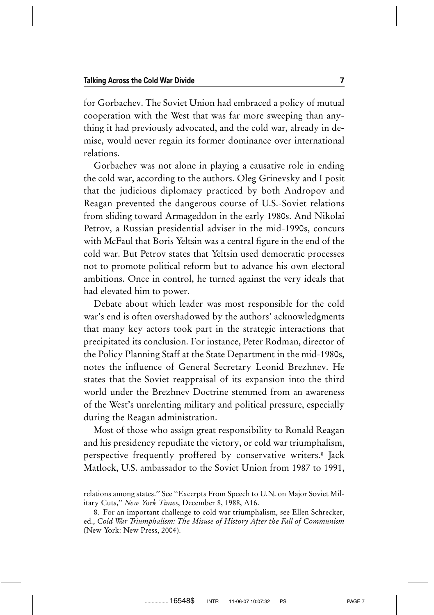for Gorbachev. The Soviet Union had embraced a policy of mutual cooperation with the West that was far more sweeping than anything it had previously advocated, and the cold war, already in demise, would never regain its former dominance over international relations.

Gorbachev was not alone in playing a causative role in ending the cold war, according to the authors. Oleg Grinevsky and I posit that the judicious diplomacy practiced by both Andropov and Reagan prevented the dangerous course of U.S.-Soviet relations from sliding toward Armageddon in the early 1980s. And Nikolai Petrov, a Russian presidential adviser in the mid-1990s, concurs with McFaul that Boris Yeltsin was a central figure in the end of the cold war. But Petrov states that Yeltsin used democratic processes not to promote political reform but to advance his own electoral ambitions. Once in control, he turned against the very ideals that had elevated him to power.

Debate about which leader was most responsible for the cold war's end is often overshadowed by the authors' acknowledgments that many key actors took part in the strategic interactions that precipitated its conclusion. For instance, Peter Rodman, director of the Policy Planning Staff at the State Department in the mid-1980s, notes the influence of General Secretary Leonid Brezhnev. He states that the Soviet reappraisal of its expansion into the third world under the Brezhnev Doctrine stemmed from an awareness of the West's unrelenting military and political pressure, especially during the Reagan administration.

Most of those who assign great responsibility to Ronald Reagan and his presidency repudiate the victory, or cold war triumphalism, perspective frequently proffered by conservative writers.<sup>8</sup> Jack Matlock, U.S. ambassador to the Soviet Union from 1987 to 1991,

relations among states.'' See ''Excerpts From Speech to U.N. on Major Soviet Military Cuts,'' *New York Times*, December 8, 1988, A16.

<sup>8.</sup> For an important challenge to cold war triumphalism, see Ellen Schrecker, ed., *Cold War Triumphalism: The Misuse of History After the Fall of Communism* (New York: New Press, 2004).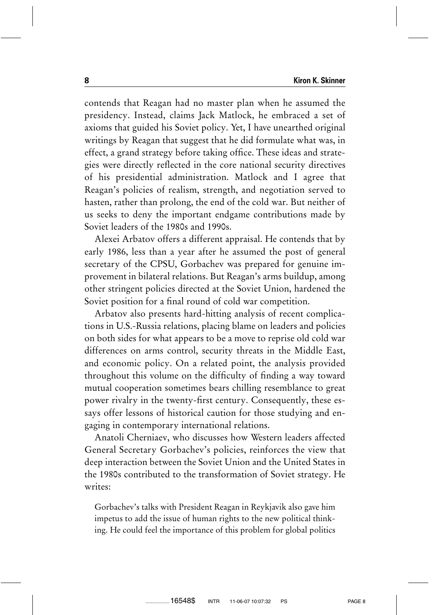contends that Reagan had no master plan when he assumed the presidency. Instead, claims Jack Matlock, he embraced a set of axioms that guided his Soviet policy. Yet, I have unearthed original writings by Reagan that suggest that he did formulate what was, in effect, a grand strategy before taking office. These ideas and strategies were directly reflected in the core national security directives of his presidential administration. Matlock and I agree that Reagan's policies of realism, strength, and negotiation served to hasten, rather than prolong, the end of the cold war. But neither of us seeks to deny the important endgame contributions made by Soviet leaders of the 1980s and 1990s.

Alexei Arbatov offers a different appraisal. He contends that by early 1986, less than a year after he assumed the post of general secretary of the CPSU, Gorbachev was prepared for genuine improvement in bilateral relations. But Reagan's arms buildup, among other stringent policies directed at the Soviet Union, hardened the Soviet position for a final round of cold war competition.

Arbatov also presents hard-hitting analysis of recent complications in U.S.-Russia relations, placing blame on leaders and policies on both sides for what appears to be a move to reprise old cold war differences on arms control, security threats in the Middle East, and economic policy. On a related point, the analysis provided throughout this volume on the difficulty of finding a way toward mutual cooperation sometimes bears chilling resemblance to great power rivalry in the twenty-first century. Consequently, these essays offer lessons of historical caution for those studying and engaging in contemporary international relations.

Anatoli Cherniaev, who discusses how Western leaders affected General Secretary Gorbachev's policies, reinforces the view that deep interaction between the Soviet Union and the United States in the 1980s contributed to the transformation of Soviet strategy. He writes:

Gorbachev's talks with President Reagan in Reykjavik also gave him impetus to add the issue of human rights to the new political thinking. He could feel the importance of this problem for global politics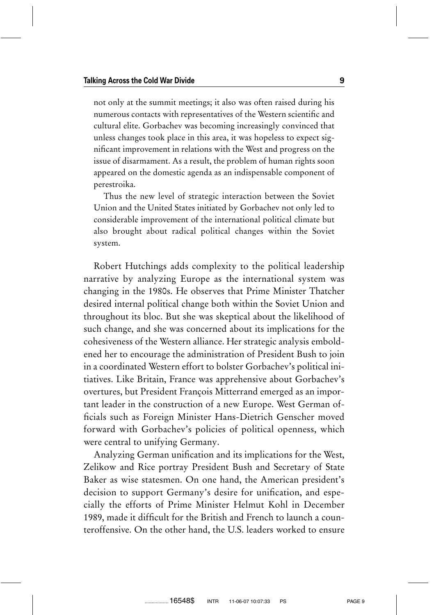not only at the summit meetings; it also was often raised during his numerous contacts with representatives of the Western scientific and cultural elite. Gorbachev was becoming increasingly convinced that unless changes took place in this area, it was hopeless to expect significant improvement in relations with the West and progress on the issue of disarmament. As a result, the problem of human rights soon appeared on the domestic agenda as an indispensable component of perestroika.

Thus the new level of strategic interaction between the Soviet Union and the United States initiated by Gorbachev not only led to considerable improvement of the international political climate but also brought about radical political changes within the Soviet system.

Robert Hutchings adds complexity to the political leadership narrative by analyzing Europe as the international system was changing in the 1980s. He observes that Prime Minister Thatcher desired internal political change both within the Soviet Union and throughout its bloc. But she was skeptical about the likelihood of such change, and she was concerned about its implications for the cohesiveness of the Western alliance. Her strategic analysis emboldened her to encourage the administration of President Bush to join in a coordinated Western effort to bolster Gorbachev's political initiatives. Like Britain, France was apprehensive about Gorbachev's overtures, but President François Mitterrand emerged as an important leader in the construction of a new Europe. West German officials such as Foreign Minister Hans-Dietrich Genscher moved forward with Gorbachev's policies of political openness, which were central to unifying Germany.

Analyzing German unification and its implications for the West, Zelikow and Rice portray President Bush and Secretary of State Baker as wise statesmen. On one hand, the American president's decision to support Germany's desire for unification, and especially the efforts of Prime Minister Helmut Kohl in December 1989, made it difficult for the British and French to launch a counteroffensive. On the other hand, the U.S. leaders worked to ensure